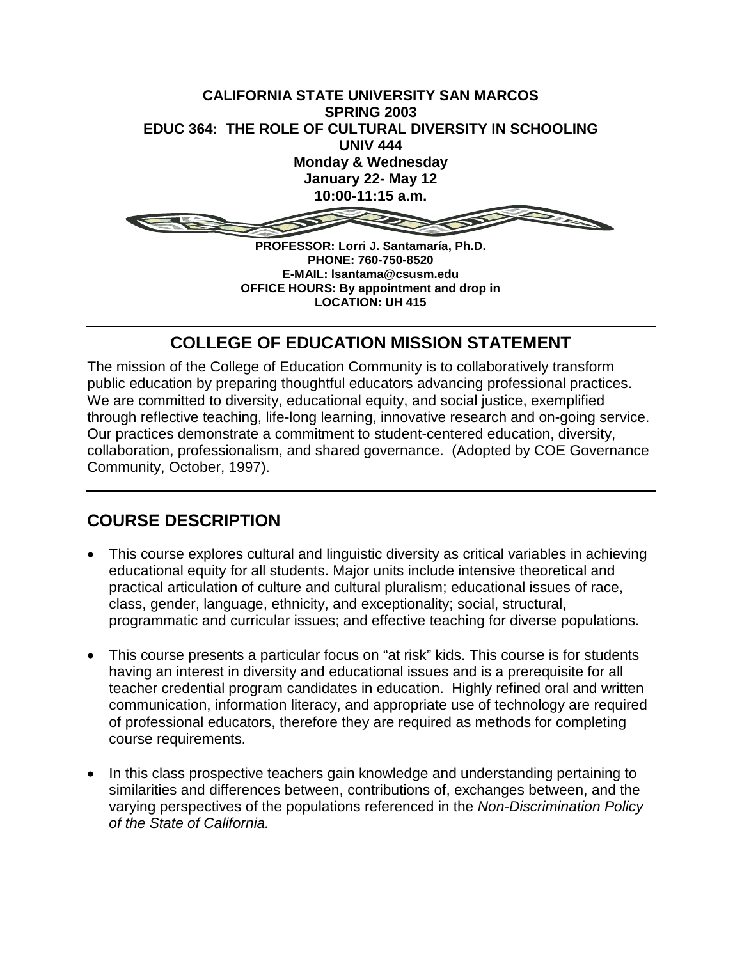

**PHONE: 760-750-8520 E-MAIL: lsantama@csusm.edu OFFICE HOURS: By appointment and drop in LOCATION: UH 415**

# **COLLEGE OF EDUCATION MISSION STATEMENT**

The mission of the College of Education Community is to collaboratively transform public education by preparing thoughtful educators advancing professional practices. We are committed to diversity, educational equity, and social justice, exemplified through reflective teaching, life-long learning, innovative research and on-going service. Our practices demonstrate a commitment to student-centered education, diversity, collaboration, professionalism, and shared governance. (Adopted by COE Governance Community, October, 1997).

# **COURSE DESCRIPTION**

- This course explores cultural and linguistic diversity as critical variables in achieving educational equity for all students. Major units include intensive theoretical and practical articulation of culture and cultural pluralism; educational issues of race, class, gender, language, ethnicity, and exceptionality; social, structural, programmatic and curricular issues; and effective teaching for diverse populations.
- This course presents a particular focus on "at risk" kids. This course is for students having an interest in diversity and educational issues and is a prerequisite for all teacher credential program candidates in education. Highly refined oral and written communication, information literacy, and appropriate use of technology are required of professional educators, therefore they are required as methods for completing course requirements.
- In this class prospective teachers gain knowledge and understanding pertaining to similarities and differences between, contributions of, exchanges between, and the varying perspectives of the populations referenced in the *Non-Discrimination Policy of the State of California.*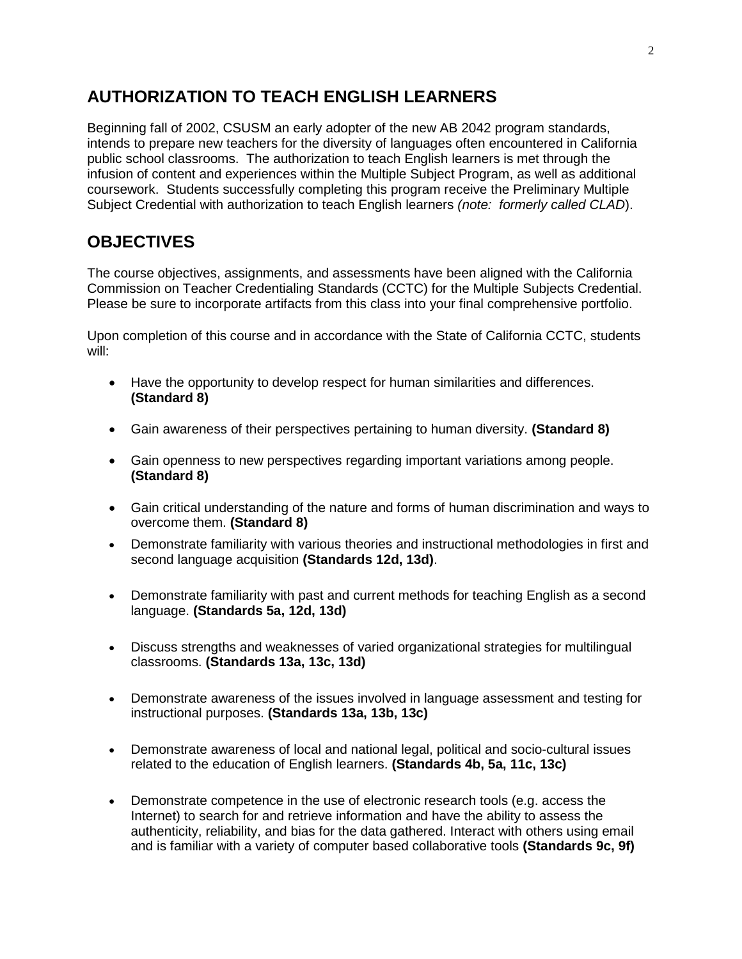# **AUTHORIZATION TO TEACH ENGLISH LEARNERS**

Beginning fall of 2002, CSUSM an early adopter of the new AB 2042 program standards, intends to prepare new teachers for the diversity of languages often encountered in California public school classrooms. The authorization to teach English learners is met through the infusion of content and experiences within the Multiple Subject Program, as well as additional coursework. Students successfully completing this program receive the Preliminary Multiple Subject Credential with authorization to teach English learners *(note: formerly called CLAD*).

# **OBJECTIVES**

The course objectives, assignments, and assessments have been aligned with the California Commission on Teacher Credentialing Standards (CCTC) for the Multiple Subjects Credential. Please be sure to incorporate artifacts from this class into your final comprehensive portfolio.

Upon completion of this course and in accordance with the State of California CCTC, students will:

- Have the opportunity to develop respect for human similarities and differences. **(Standard 8)**
- Gain awareness of their perspectives pertaining to human diversity. **(Standard 8)**
- Gain openness to new perspectives regarding important variations among people. **(Standard 8)**
- Gain critical understanding of the nature and forms of human discrimination and ways to overcome them. **(Standard 8)**
- Demonstrate familiarity with various theories and instructional methodologies in first and second language acquisition **(Standards 12d, 13d)**.
- Demonstrate familiarity with past and current methods for teaching English as a second language. **(Standards 5a, 12d, 13d)**
- Discuss strengths and weaknesses of varied organizational strategies for multilingual classrooms. **(Standards 13a, 13c, 13d)**
- Demonstrate awareness of the issues involved in language assessment and testing for instructional purposes. **(Standards 13a, 13b, 13c)**
- Demonstrate awareness of local and national legal, political and socio-cultural issues related to the education of English learners. **(Standards 4b, 5a, 11c, 13c)**
- Demonstrate competence in the use of electronic research tools (e.g. access the Internet) to search for and retrieve information and have the ability to assess the authenticity, reliability, and bias for the data gathered. Interact with others using email and is familiar with a variety of computer based collaborative tools **(Standards 9c, 9f)**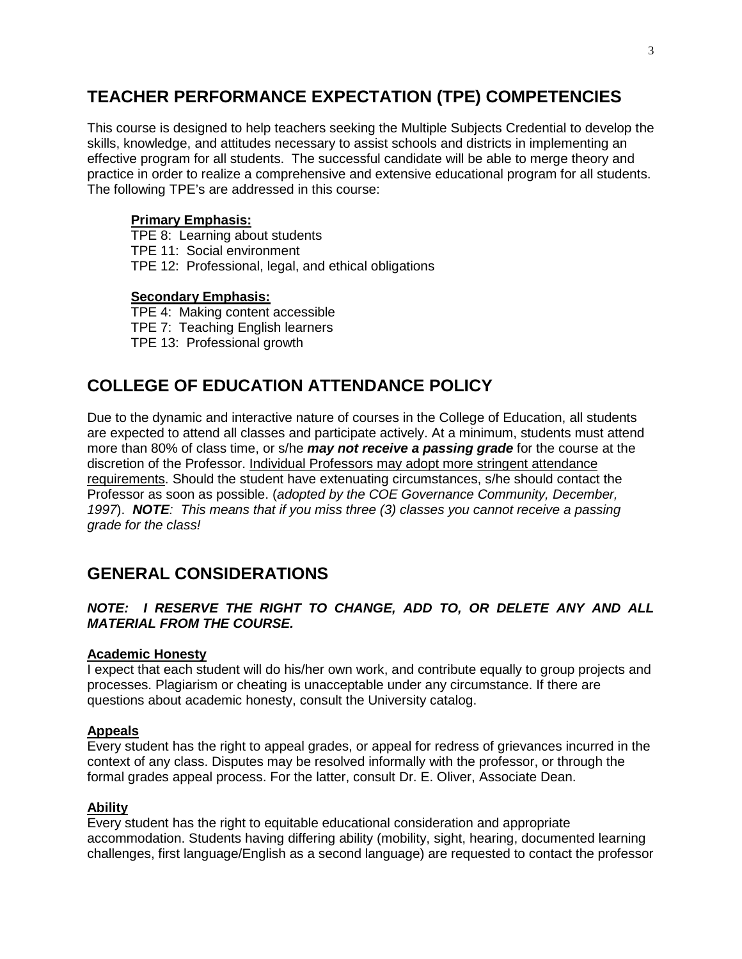# **TEACHER PERFORMANCE EXPECTATION (TPE) COMPETENCIES**

This course is designed to help teachers seeking the Multiple Subjects Credential to develop the skills, knowledge, and attitudes necessary to assist schools and districts in implementing an effective program for all students. The successful candidate will be able to merge theory and practice in order to realize a comprehensive and extensive educational program for all students. The following TPE's are addressed in this course:

### **Primary Emphasis:**

TPE 8: Learning about students TPE 11: Social environment TPE 12: Professional, legal, and ethical obligations

### **Secondary Emphasis:**

TPE 4: Making content accessible TPE 7: Teaching English learners TPE 13: Professional growth

# **COLLEGE OF EDUCATION ATTENDANCE POLICY**

Due to the dynamic and interactive nature of courses in the College of Education, all students are expected to attend all classes and participate actively. At a minimum, students must attend more than 80% of class time, or s/he *may not receive a passing grade* for the course at the discretion of the Professor. Individual Professors may adopt more stringent attendance requirements. Should the student have extenuating circumstances, s/he should contact the Professor as soon as possible. (*adopted by the COE Governance Community, December, 1997*). *NOTE: This means that if you miss three (3) classes you cannot receive a passing grade for the class!*

# **GENERAL CONSIDERATIONS**

### *NOTE: I RESERVE THE RIGHT TO CHANGE, ADD TO, OR DELETE ANY AND ALL MATERIAL FROM THE COURSE.*

### **Academic Honesty**

I expect that each student will do his/her own work, and contribute equally to group projects and processes. Plagiarism or cheating is unacceptable under any circumstance. If there are questions about academic honesty, consult the University catalog.

### **Appeals**

Every student has the right to appeal grades, or appeal for redress of grievances incurred in the context of any class. Disputes may be resolved informally with the professor, or through the formal grades appeal process. For the latter, consult Dr. E. Oliver, Associate Dean.

### **Ability**

Every student has the right to equitable educational consideration and appropriate accommodation. Students having differing ability (mobility, sight, hearing, documented learning challenges, first language/English as a second language) are requested to contact the professor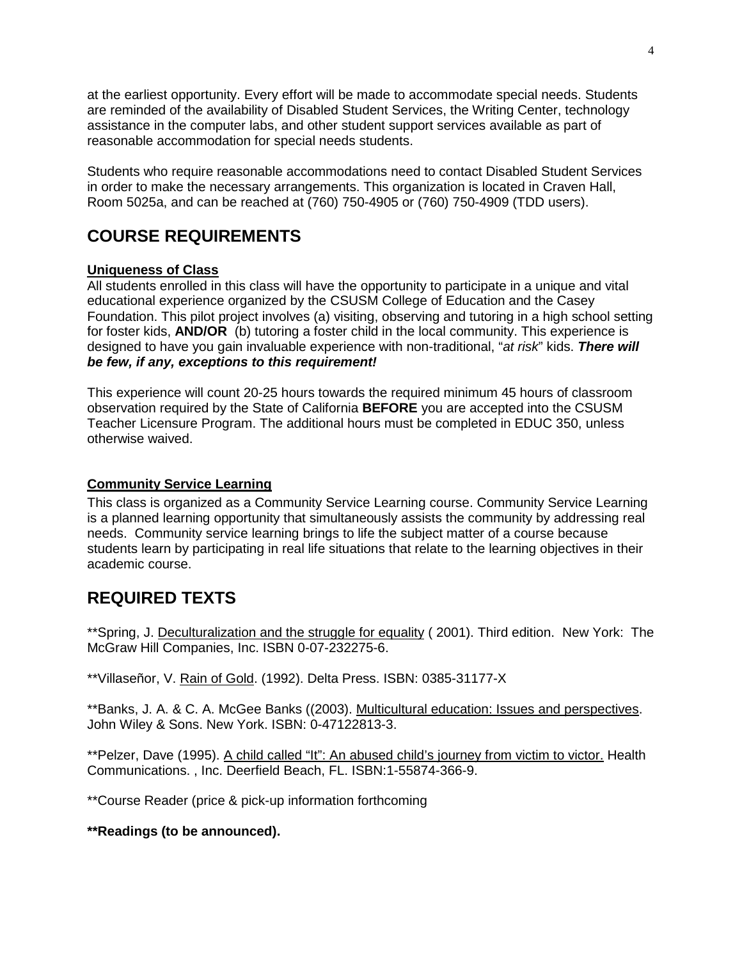at the earliest opportunity. Every effort will be made to accommodate special needs. Students are reminded of the availability of Disabled Student Services, the Writing Center, technology assistance in the computer labs, and other student support services available as part of reasonable accommodation for special needs students.

Students who require reasonable accommodations need to contact Disabled Student Services in order to make the necessary arrangements. This organization is located in Craven Hall, Room 5025a, and can be reached at (760) 750-4905 or (760) 750-4909 (TDD users).

# **COURSE REQUIREMENTS**

### **Uniqueness of Class**

All students enrolled in this class will have the opportunity to participate in a unique and vital educational experience organized by the CSUSM College of Education and the Casey Foundation. This pilot project involves (a) visiting, observing and tutoring in a high school setting for foster kids, **AND/OR** (b) tutoring a foster child in the local community. This experience is designed to have you gain invaluable experience with non-traditional, "*at risk*" kids. *There will be few, if any, exceptions to this requirement!*

This experience will count 20-25 hours towards the required minimum 45 hours of classroom observation required by the State of California **BEFORE** you are accepted into the CSUSM Teacher Licensure Program. The additional hours must be completed in EDUC 350, unless otherwise waived.

### **Community Service Learning**

This class is organized as a Community Service Learning course. Community Service Learning is a planned learning opportunity that simultaneously assists the community by addressing real needs. Community service learning brings to life the subject matter of a course because students learn by participating in real life situations that relate to the learning objectives in their academic course.

# **REQUIRED TEXTS**

\*\*Spring, J. Deculturalization and the struggle for equality ( 2001). Third edition. New York: The McGraw Hill Companies, Inc. ISBN 0-07-232275-6.

\*\*Villaseñor, V. Rain of Gold. (1992). Delta Press. ISBN: 0385-31177-X

\*\*Banks, J. A. & C. A. McGee Banks ((2003). Multicultural education: Issues and perspectives. John Wiley & Sons. New York. ISBN: 0-47122813-3.

\*\*Pelzer, Dave (1995). A child called "It": An abused child's journey from victim to victor. Health Communications. , Inc. Deerfield Beach, FL. ISBN:1-55874-366-9.

\*\*Course Reader (price & pick-up information forthcoming

**\*\*Readings (to be announced).**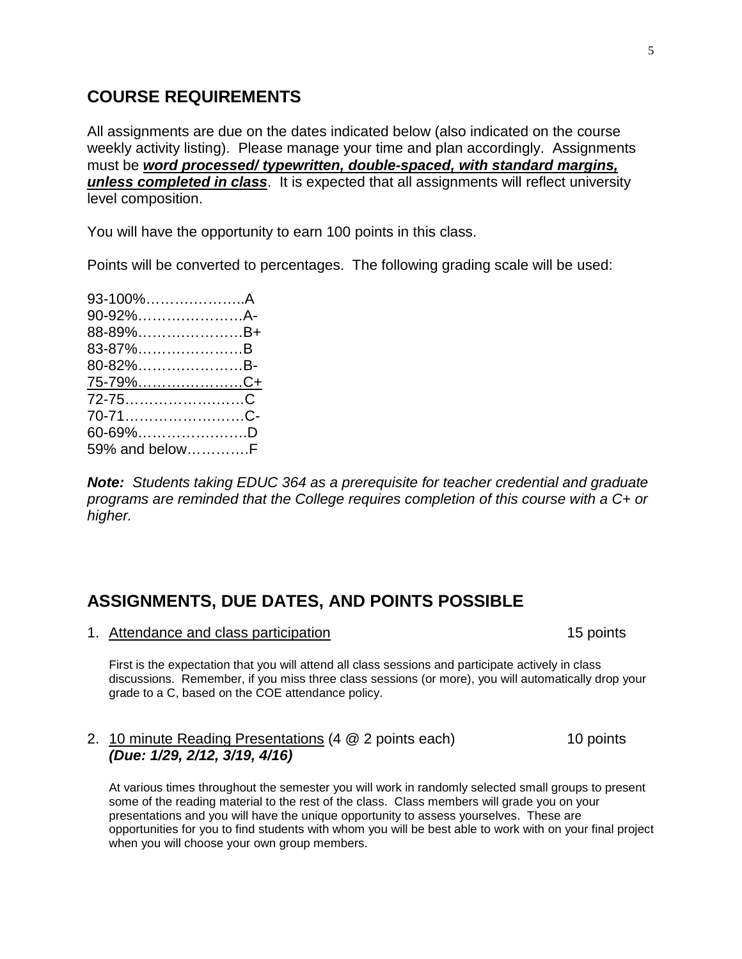## **COURSE REQUIREMENTS**

All assignments are due on the dates indicated below (also indicated on the course weekly activity listing). Please manage your time and plan accordingly. Assignments must be *word processed/ typewritten, double-spaced, with standard margins, unless completed in class*. It is expected that all assignments will reflect university level composition.

You will have the opportunity to earn 100 points in this class.

Points will be converted to percentages. The following grading scale will be used:

| 93-100%A        |  |
|-----------------|--|
| 90-92%A-        |  |
| 88-89%B+        |  |
| 83-87%B         |  |
| 80-82%B-        |  |
| <u>75-79%C+</u> |  |
| 72-75C          |  |
| 70-71C-         |  |
| $60 - 69\%$ D   |  |
| 59% and belowF  |  |

*Note: Students taking EDUC 364 as a prerequisite for teacher credential and graduate programs are reminded that the College requires completion of this course with a C+ or higher.*

### **ASSIGNMENTS, DUE DATES, AND POINTS POSSIBLE**

1. Attendance and class participation 15 points 15 points

First is the expectation that you will attend all class sessions and participate actively in class discussions. Remember, if you miss three class sessions (or more), you will automatically drop your grade to a C, based on the COE attendance policy.

### 2. 10 minute Reading Presentations (4 @ 2 points each) 10 points *(Due: 1/29, 2/12, 3/19, 4/16)*

At various times throughout the semester you will work in randomly selected small groups to present some of the reading material to the rest of the class. Class members will grade you on your presentations and you will have the unique opportunity to assess yourselves. These are opportunities for you to find students with whom you will be best able to work with on your final project when you will choose your own group members.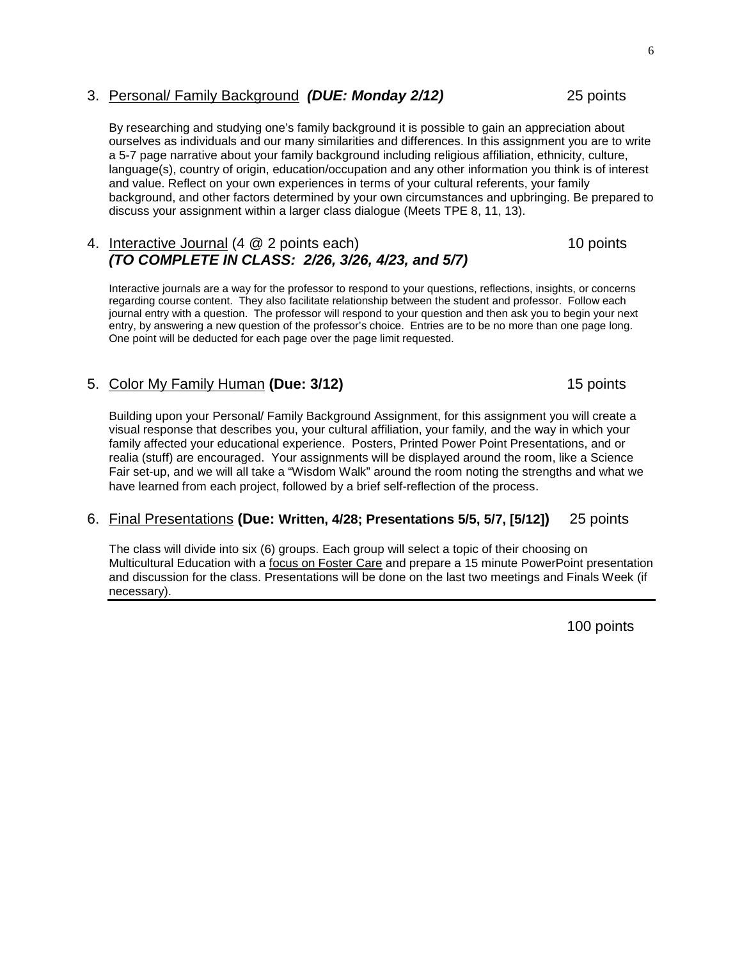### 3. Personal/ Family Background *(DUE: Monday 2/12)* 25 points

By researching and studying one's family background it is possible to gain an appreciation about ourselves as individuals and our many similarities and differences. In this assignment you are to write a 5-7 page narrative about your family background including religious affiliation, ethnicity, culture, language(s), country of origin, education/occupation and any other information you think is of interest and value. Reflect on your own experiences in terms of your cultural referents, your family background, and other factors determined by your own circumstances and upbringing. Be prepared to discuss your assignment within a larger class dialogue (Meets TPE 8, 11, 13).

### 4. Interactive Journal (4 @ 2 points each) 10 points *(TO COMPLETE IN CLASS: 2/26, 3/26, 4/23, and 5/7)*

Interactive journals are a way for the professor to respond to your questions, reflections, insights, or concerns regarding course content. They also facilitate relationship between the student and professor. Follow each journal entry with a question. The professor will respond to your question and then ask you to begin your next entry, by answering a new question of the professor's choice. Entries are to be no more than one page long. One point will be deducted for each page over the page limit requested.

### 5. Color My Family Human **(Due: 3/12)** 15 points

Building upon your Personal/ Family Background Assignment, for this assignment you will create a visual response that describes you, your cultural affiliation, your family, and the way in which your family affected your educational experience. Posters, Printed Power Point Presentations, and or realia (stuff) are encouraged. Your assignments will be displayed around the room, like a Science Fair set-up, and we will all take a "Wisdom Walk" around the room noting the strengths and what we have learned from each project, followed by a brief self-reflection of the process.

### 6. Final Presentations **(Due: Written, 4/28; Presentations 5/5, 5/7, [5/12])** 25 points

The class will divide into six (6) groups. Each group will select a topic of their choosing on Multicultural Education with a focus on Foster Care and prepare a 15 minute PowerPoint presentation and discussion for the class. Presentations will be done on the last two meetings and Finals Week (if necessary).

100 points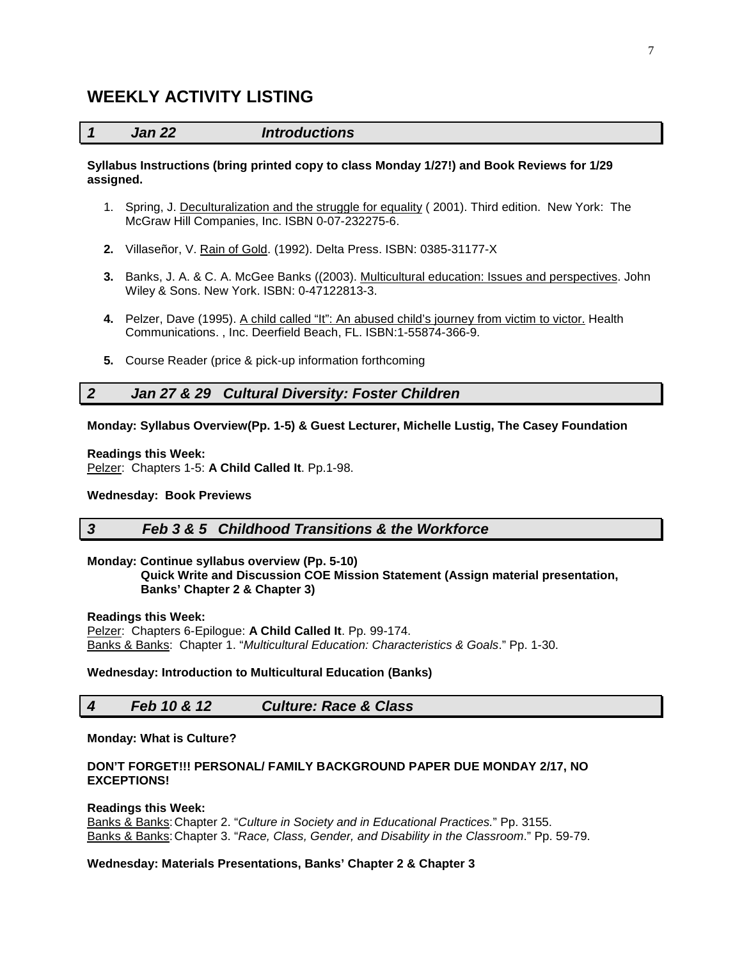### **WEEKLY ACTIVITY LISTING**

#### *1 Jan 22 Introductions*

#### **Syllabus Instructions (bring printed copy to class Monday 1/27!) and Book Reviews for 1/29 assigned.**

- 1. Spring, J. Deculturalization and the struggle for equality ( 2001). Third edition. New York: The McGraw Hill Companies, Inc. ISBN 0-07-232275-6.
- **2.** Villaseñor, V. Rain of Gold. (1992). Delta Press. ISBN: 0385-31177-X
- **3.** Banks, J. A. & C. A. McGee Banks ((2003). Multicultural education: Issues and perspectives. John Wiley & Sons. New York. ISBN: 0-47122813-3.
- **4.** Pelzer, Dave (1995). A child called "It": An abused child's journey from victim to victor. Health Communications. , Inc. Deerfield Beach, FL. ISBN:1-55874-366-9.
- **5.** Course Reader (price & pick-up information forthcoming

### *2 Jan 27 & 29 Cultural Diversity: Foster Children*

#### **Monday: Syllabus Overview(Pp. 1-5) & Guest Lecturer, Michelle Lustig, The Casey Foundation**

#### **Readings this Week:**

Pelzer: Chapters 1-5: **A Child Called It**. Pp.1-98.

#### **Wednesday: Book Previews**

### *3 Feb 3 & 5 Childhood Transitions & the Workforce*

### **Monday: Continue syllabus overview (Pp. 5-10)**

 **Quick Write and Discussion COE Mission Statement (Assign material presentation, Banks' Chapter 2 & Chapter 3)**

#### **Readings this Week:**

Pelzer: Chapters 6-Epilogue: **A Child Called It**. Pp. 99-174. Banks & Banks: Chapter 1. "*Multicultural Education: Characteristics & Goals*." Pp. 1-30.

#### **Wednesday: Introduction to Multicultural Education (Banks)**

### *4 Feb 10 & 12 Culture: Race & Class*

#### **Monday: What is Culture?**

#### **DON'T FORGET!!! PERSONAL/ FAMILY BACKGROUND PAPER DUE MONDAY 2/17, NO EXCEPTIONS!**

#### **Readings this Week:**

Banks & Banks:Chapter 2. "*Culture in Society and in Educational Practices.*" Pp. 3155. Banks & Banks:Chapter 3. "*Race, Class, Gender, and Disability in the Classroom*." Pp. 59-79.

#### **Wednesday: Materials Presentations, Banks' Chapter 2 & Chapter 3**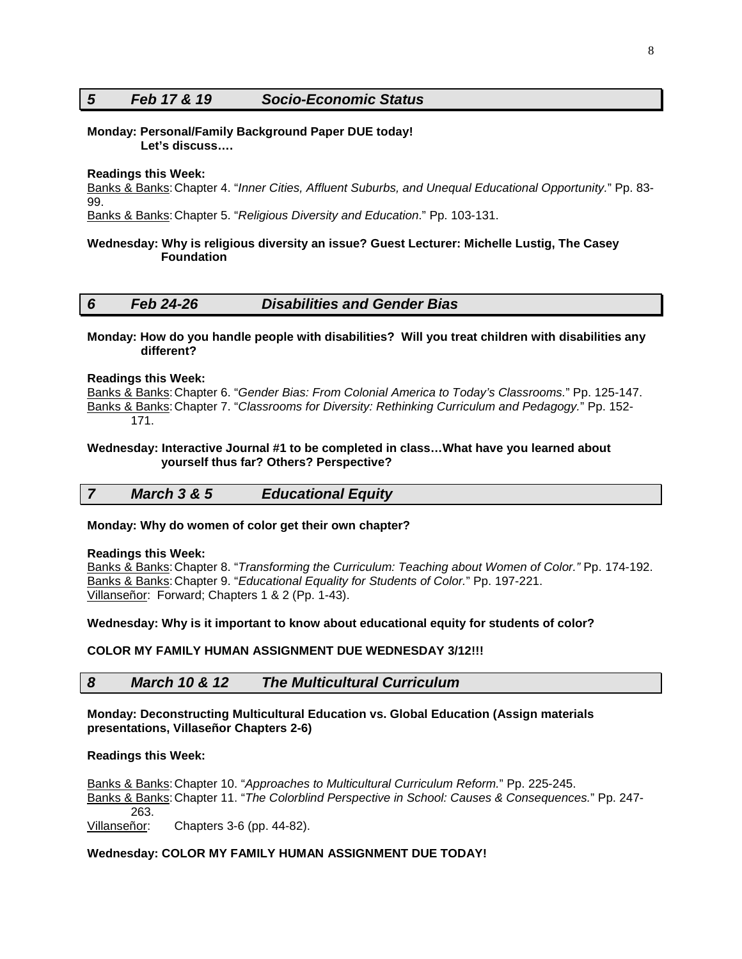### *5 Feb 17 & 19 Socio-Economic Status*

#### **Monday: Personal/Family Background Paper DUE today! Let's discuss….**

#### **Readings this Week:**

Banks & Banks:Chapter 4. "*Inner Cities, Affluent Suburbs, and Unequal Educational Opportunity.*" Pp. 83- 99.

Banks & Banks:Chapter 5. "*Religious Diversity and Education*." Pp. 103-131.

#### **Wednesday: Why is religious diversity an issue? Guest Lecturer: Michelle Lustig, The Casey Foundation**

#### *6 Feb 24-26 Disabilities and Gender Bias*

#### **Monday: How do you handle people with disabilities? Will you treat children with disabilities any different?**

#### **Readings this Week:**

Banks & Banks:Chapter 6. "*Gender Bias: From Colonial America to Today's Classrooms.*" Pp. 125-147. Banks & Banks:Chapter 7. "*Classrooms for Diversity: Rethinking Curriculum and Pedagogy.*" Pp. 152- 171.

#### **Wednesday: Interactive Journal #1 to be completed in class…What have you learned about yourself thus far? Others? Perspective?**

*7 March 3 & 5 Educational Equity*

#### **Monday: Why do women of color get their own chapter?**

#### **Readings this Week:**

Banks & Banks:Chapter 8. "*Transforming the Curriculum: Teaching about Women of Color."* Pp. 174-192. Banks & Banks:Chapter 9. "*Educational Equality for Students of Color.*" Pp. 197-221. Villanseñor: Forward; Chapters 1 & 2 (Pp. 1-43).

#### **Wednesday: Why is it important to know about educational equity for students of color?**

#### **COLOR MY FAMILY HUMAN ASSIGNMENT DUE WEDNESDAY 3/12!!!**

#### *8 March 10 & 12 The Multicultural Curriculum*

#### **Monday: Deconstructing Multicultural Education vs. Global Education (Assign materials presentations, Villaseñor Chapters 2-6)**

#### **Readings this Week:**

Banks & Banks:Chapter 10. "*Approaches to Multicultural Curriculum Reform.*" Pp. 225-245. Banks & Banks:Chapter 11. "*The Colorblind Perspective in School: Causes & Consequences.*" Pp. 247- 263. Villanseñor: Chapters 3-6 (pp. 44-82).

### **Wednesday: COLOR MY FAMILY HUMAN ASSIGNMENT DUE TODAY!**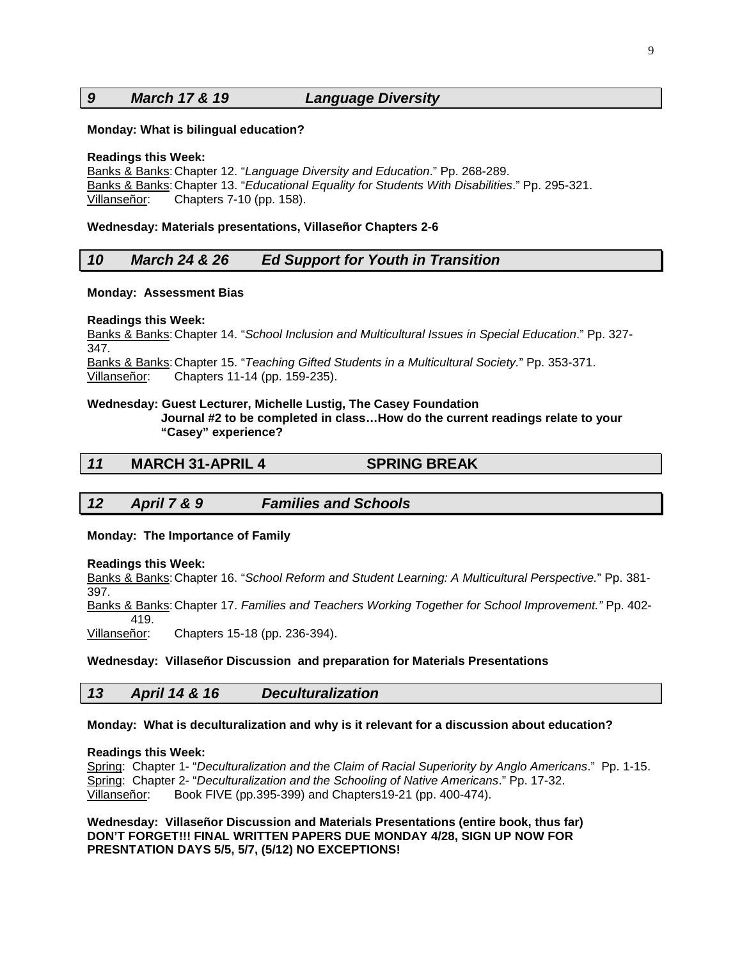### *9 March 17 & 19 Language Diversity*

#### **Monday: What is bilingual education?**

#### **Readings this Week:**

Banks & Banks:Chapter 12. "*Language Diversity and Education*." Pp. 268-289. Banks & Banks:Chapter 13. "*Educational Equality for Students With Disabilities*." Pp. 295-321. Villanseñor: Chapters 7-10 (pp. 158).

#### **Wednesday: Materials presentations, Villaseñor Chapters 2-6**

#### *10 March 24 & 26 Ed Support for Youth in Transition*

#### **Monday: Assessment Bias**

#### **Readings this Week:**

Banks & Banks:Chapter 14. "*School Inclusion and Multicultural Issues in Special Education*." Pp. 327- 347.

Banks & Banks:Chapter 15. "*Teaching Gifted Students in a Multicultural Society.*" Pp. 353-371. Villanseñor: Chapters 11-14 (pp. 159-235).

#### **Wednesday: Guest Lecturer, Michelle Lustig, The Casey Foundation**

 **Journal #2 to be completed in class…How do the current readings relate to your "Casey" experience?**

#### *11* **MARCH 31-APRIL 4****SPRING BREAK**

### *12 April 7 & 9 Families and Schools*

#### **Monday: The Importance of Family**

#### **Readings this Week:**

Banks & Banks:Chapter 16. "*School Reform and Student Learning: A Multicultural Perspective.*" Pp. 381- 397.

Banks & Banks:Chapter 17. *Families and Teachers Working Together for School Improvement."* Pp. 402- 419.<br>:Villanseñor

Chapters 15-18 (pp. 236-394).

#### **Wednesday: Villaseñor Discussion and preparation for Materials Presentations**

### *13 April 14 & 16 Deculturalization*

#### **Monday: What is deculturalization and why is it relevant for a discussion about education?**

#### **Readings this Week:**

Spring: Chapter 1- "*Deculturalization and the Claim of Racial Superiority by Anglo Americans*." Pp. 1-15. Spring: Chapter 2- "*Deculturalization and the Schooling of Native Americans*." Pp. 17-32.<br>Villanseñor: Book FIVE (pp.395-399) and Chapters19-21 (pp. 400-474). Book FIVE (pp.395-399) and Chapters19-21 (pp. 400-474).

**Wednesday: Villaseñor Discussion and Materials Presentations (entire book, thus far) DON'T FORGET!!! FINAL WRITTEN PAPERS DUE MONDAY 4/28, SIGN UP NOW FOR PRESNTATION DAYS 5/5, 5/7, (5/12) NO EXCEPTIONS!**